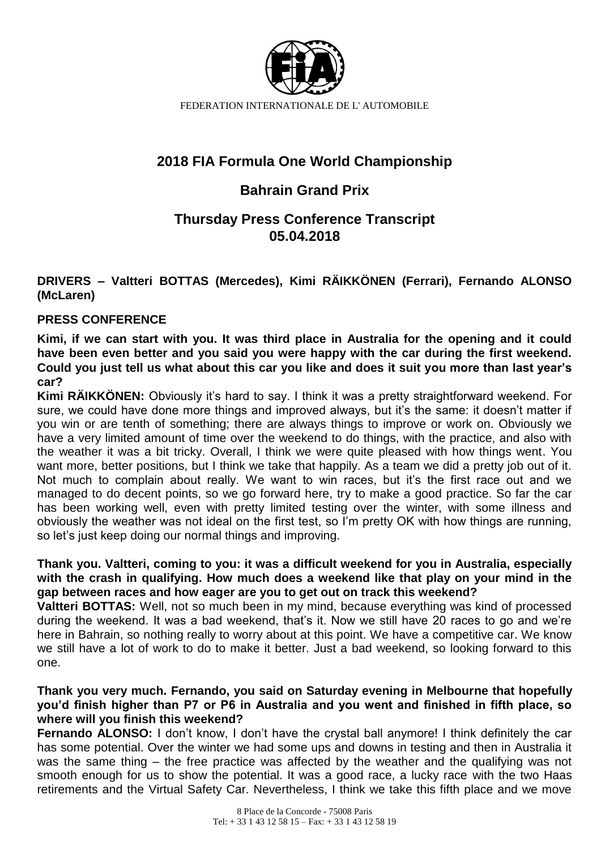

FEDERATION INTERNATIONALE DE L' AUTOMOBILE

# **2018 FIA Formula One World Championship**

## **Bahrain Grand Prix**

## **Thursday Press Conference Transcript 05.04.2018**

**DRIVERS – Valtteri BOTTAS (Mercedes), Kimi RÄIKKÖNEN (Ferrari), Fernando ALONSO (McLaren)**

#### **PRESS CONFERENCE**

**Kimi, if we can start with you. It was third place in Australia for the opening and it could have been even better and you said you were happy with the car during the first weekend. Could you just tell us what about this car you like and does it suit you more than last year's car?** 

**Kimi RÄIKKÖNEN:** Obviously it's hard to say. I think it was a pretty straightforward weekend. For sure, we could have done more things and improved always, but it's the same: it doesn't matter if you win or are tenth of something; there are always things to improve or work on. Obviously we have a very limited amount of time over the weekend to do things, with the practice, and also with the weather it was a bit tricky. Overall, I think we were quite pleased with how things went. You want more, better positions, but I think we take that happily. As a team we did a pretty job out of it. Not much to complain about really. We want to win races, but it's the first race out and we managed to do decent points, so we go forward here, try to make a good practice. So far the car has been working well, even with pretty limited testing over the winter, with some illness and obviously the weather was not ideal on the first test, so I'm pretty OK with how things are running, so let's just keep doing our normal things and improving.

#### **Thank you. Valtteri, coming to you: it was a difficult weekend for you in Australia, especially with the crash in qualifying. How much does a weekend like that play on your mind in the gap between races and how eager are you to get out on track this weekend?**

**Valtteri BOTTAS:** Well, not so much been in my mind, because everything was kind of processed during the weekend. It was a bad weekend, that's it. Now we still have 20 races to go and we're here in Bahrain, so nothing really to worry about at this point. We have a competitive car. We know we still have a lot of work to do to make it better. Just a bad weekend, so looking forward to this one.

**Thank you very much. Fernando, you said on Saturday evening in Melbourne that hopefully you'd finish higher than P7 or P6 in Australia and you went and finished in fifth place, so where will you finish this weekend?** 

**Fernando ALONSO:** I don't know, I don't have the crystal ball anymore! I think definitely the car has some potential. Over the winter we had some ups and downs in testing and then in Australia it was the same thing – the free practice was affected by the weather and the qualifying was not smooth enough for us to show the potential. It was a good race, a lucky race with the two Haas retirements and the Virtual Safety Car. Nevertheless, I think we take this fifth place and we move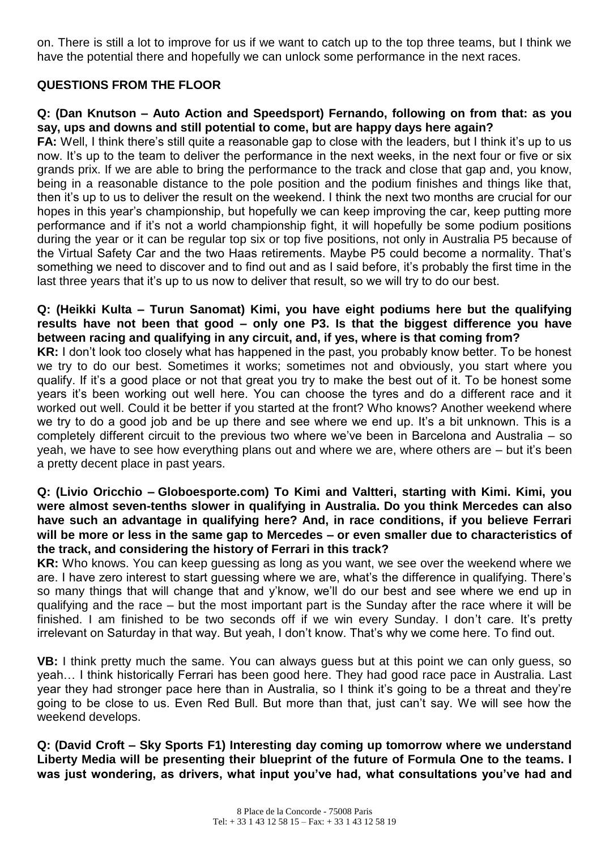on. There is still a lot to improve for us if we want to catch up to the top three teams, but I think we have the potential there and hopefully we can unlock some performance in the next races.

### **QUESTIONS FROM THE FLOOR**

#### **Q: (Dan Knutson – Auto Action and Speedsport) Fernando, following on from that: as you say, ups and downs and still potential to come, but are happy days here again?**

**FA:** Well, I think there's still quite a reasonable gap to close with the leaders, but I think it's up to us now. It's up to the team to deliver the performance in the next weeks, in the next four or five or six grands prix. If we are able to bring the performance to the track and close that gap and, you know, being in a reasonable distance to the pole position and the podium finishes and things like that, then it's up to us to deliver the result on the weekend. I think the next two months are crucial for our hopes in this year's championship, but hopefully we can keep improving the car, keep putting more performance and if it's not a world championship fight, it will hopefully be some podium positions during the year or it can be regular top six or top five positions, not only in Australia P5 because of the Virtual Safety Car and the two Haas retirements. Maybe P5 could become a normality. That's something we need to discover and to find out and as I said before, it's probably the first time in the last three years that it's up to us now to deliver that result, so we will try to do our best.

#### **Q: (Heikki Kulta – Turun Sanomat) Kimi, you have eight podiums here but the qualifying results have not been that good – only one P3. Is that the biggest difference you have between racing and qualifying in any circuit, and, if yes, where is that coming from?**

**KR:** I don't look too closely what has happened in the past, you probably know better. To be honest we try to do our best. Sometimes it works; sometimes not and obviously, you start where you qualify. If it's a good place or not that great you try to make the best out of it. To be honest some years it's been working out well here. You can choose the tyres and do a different race and it worked out well. Could it be better if you started at the front? Who knows? Another weekend where we try to do a good job and be up there and see where we end up. It's a bit unknown. This is a completely different circuit to the previous two where we've been in Barcelona and Australia – so yeah, we have to see how everything plans out and where we are, where others are – but it's been a pretty decent place in past years.

#### **Q: (Livio Oricchio – Globoesporte.com) To Kimi and Valtteri, starting with Kimi. Kimi, you were almost seven-tenths slower in qualifying in Australia. Do you think Mercedes can also have such an advantage in qualifying here? And, in race conditions, if you believe Ferrari will be more or less in the same gap to Mercedes – or even smaller due to characteristics of the track, and considering the history of Ferrari in this track?**

**KR:** Who knows. You can keep guessing as long as you want, we see over the weekend where we are. I have zero interest to start guessing where we are, what's the difference in qualifying. There's so many things that will change that and y'know, we'll do our best and see where we end up in qualifying and the race – but the most important part is the Sunday after the race where it will be finished. I am finished to be two seconds off if we win every Sunday. I don't care. It's pretty irrelevant on Saturday in that way. But yeah, I don't know. That's why we come here. To find out.

**VB:** I think pretty much the same. You can always guess but at this point we can only guess, so yeah… I think historically Ferrari has been good here. They had good race pace in Australia. Last year they had stronger pace here than in Australia, so I think it's going to be a threat and they're going to be close to us. Even Red Bull. But more than that, just can't say. We will see how the weekend develops.

**Q: (David Croft – Sky Sports F1) Interesting day coming up tomorrow where we understand Liberty Media will be presenting their blueprint of the future of Formula One to the teams. I was just wondering, as drivers, what input you've had, what consultations you've had and**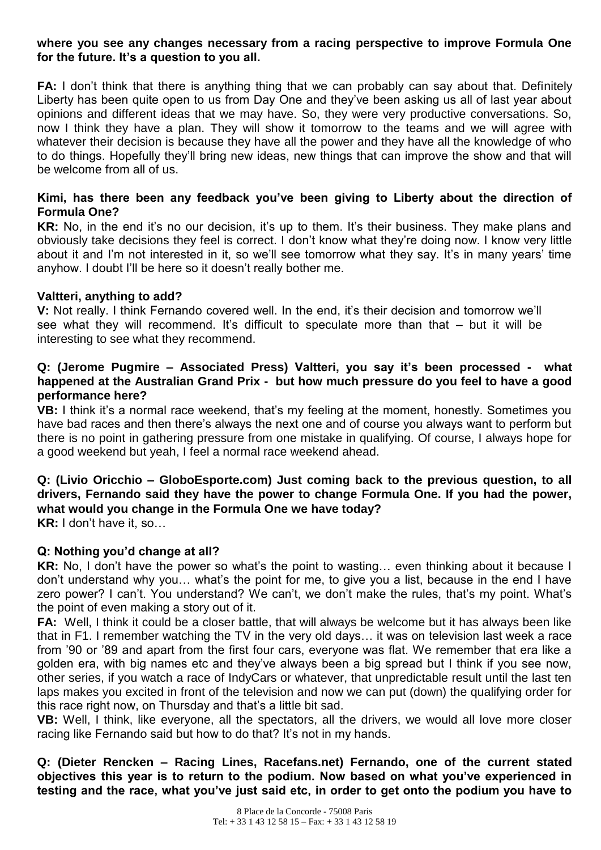#### **where you see any changes necessary from a racing perspective to improve Formula One for the future. It's a question to you all.**

**FA:** I don't think that there is anything thing that we can probably can say about that. Definitely Liberty has been quite open to us from Day One and they've been asking us all of last year about opinions and different ideas that we may have. So, they were very productive conversations. So, now I think they have a plan. They will show it tomorrow to the teams and we will agree with whatever their decision is because they have all the power and they have all the knowledge of who to do things. Hopefully they'll bring new ideas, new things that can improve the show and that will be welcome from all of us.

#### **Kimi, has there been any feedback you've been giving to Liberty about the direction of Formula One?**

**KR:** No, in the end it's no our decision, it's up to them. It's their business. They make plans and obviously take decisions they feel is correct. I don't know what they're doing now. I know very little about it and I'm not interested in it, so we'll see tomorrow what they say. It's in many years' time anyhow. I doubt I'll be here so it doesn't really bother me.

#### **Valtteri, anything to add?**

**V:** Not really. I think Fernando covered well. In the end, it's their decision and tomorrow we'll see what they will recommend. It's difficult to speculate more than that – but it will be interesting to see what they recommend.

#### **Q: (Jerome Pugmire – Associated Press) Valtteri, you say it's been processed - what happened at the Australian Grand Prix - but how much pressure do you feel to have a good performance here?**

**VB:** I think it's a normal race weekend, that's my feeling at the moment, honestly. Sometimes you have bad races and then there's always the next one and of course you always want to perform but there is no point in gathering pressure from one mistake in qualifying. Of course, I always hope for a good weekend but yeah, I feel a normal race weekend ahead.

# **Q: (Livio Oricchio – GloboEsporte.com) Just coming back to the previous question, to all drivers, Fernando said they have the power to change Formula One. If you had the power, what would you change in the Formula One we have today?**

**KR:** I don't have it, so…

### **Q: Nothing you'd change at all?**

**KR:** No, I don't have the power so what's the point to wasting… even thinking about it because I don't understand why you… what's the point for me, to give you a list, because in the end I have zero power? I can't. You understand? We can't, we don't make the rules, that's my point. What's the point of even making a story out of it.

**FA:** Well, I think it could be a closer battle, that will always be welcome but it has always been like that in F1. I remember watching the TV in the very old days… it was on television last week a race from '90 or '89 and apart from the first four cars, everyone was flat. We remember that era like a golden era, with big names etc and they've always been a big spread but I think if you see now, other series, if you watch a race of IndyCars or whatever, that unpredictable result until the last ten laps makes you excited in front of the television and now we can put (down) the qualifying order for this race right now, on Thursday and that's a little bit sad.

**VB:** Well, I think, like everyone, all the spectators, all the drivers, we would all love more closer racing like Fernando said but how to do that? It's not in my hands.

**Q: (Dieter Rencken – Racing Lines, Racefans.net) Fernando, one of the current stated objectives this year is to return to the podium. Now based on what you've experienced in testing and the race, what you've just said etc, in order to get onto the podium you have to**